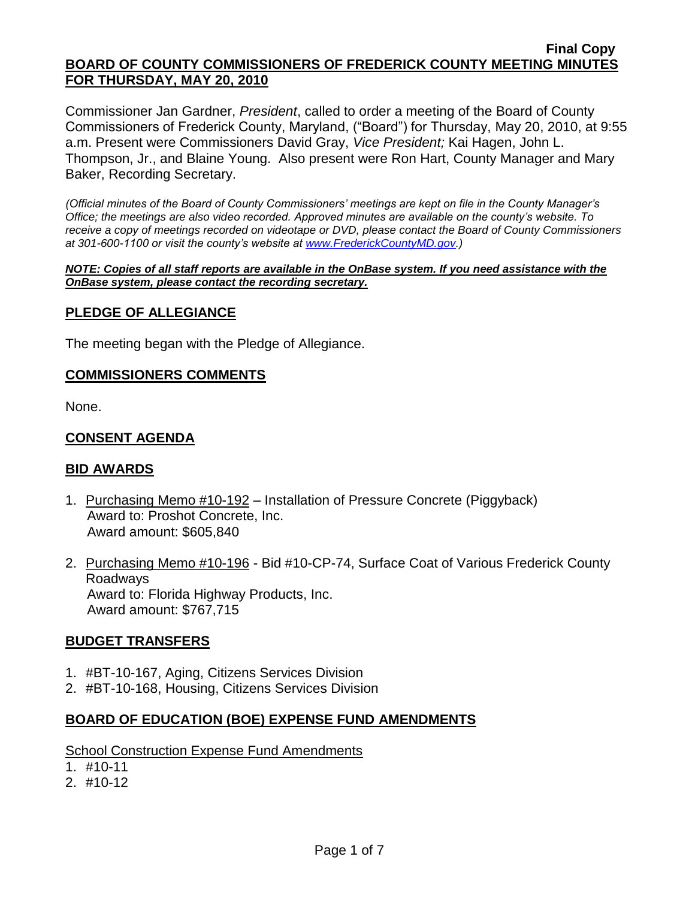Commissioner Jan Gardner, *President*, called to order a meeting of the Board of County Commissioners of Frederick County, Maryland, ("Board") for Thursday, May 20, 2010, at 9:55 a.m. Present were Commissioners David Gray, *Vice President;* Kai Hagen, John L. Thompson, Jr., and Blaine Young. Also present were Ron Hart, County Manager and Mary Baker, Recording Secretary.

*(Official minutes of the Board of County Commissioners' meetings are kept on file in the County Manager's Office; the meetings are also video recorded. Approved minutes are available on the county's website. To receive a copy of meetings recorded on videotape or DVD, please contact the Board of County Commissioners at 301-600-1100 or visit the county's website at [www.FrederickCountyMD.gov.](http://www.frederickcountymd.gov/))*

*NOTE: Copies of all staff reports are available in the OnBase system. If you need assistance with the OnBase system, please contact the recording secretary.*

### **PLEDGE OF ALLEGIANCE**

The meeting began with the Pledge of Allegiance.

### **COMMISSIONERS COMMENTS**

None.

### **CONSENT AGENDA**

### **BID AWARDS**

- 1. Purchasing Memo #10-192 Installation of Pressure Concrete (Piggyback) Award to: Proshot Concrete, Inc. Award amount: \$605,840
- 2. Purchasing Memo #10-196 Bid #10-CP-74, Surface Coat of Various Frederick County Roadways Award to: Florida Highway Products, Inc. Award amount: \$767,715

### **BUDGET TRANSFERS**

- 1. #BT-10-167, Aging, Citizens Services Division
- 2. #BT-10-168, Housing, Citizens Services Division

### **BOARD OF EDUCATION (BOE) EXPENSE FUND AMENDMENTS**

School Construction Expense Fund Amendments

- 1. #10-11
- 2. #10-12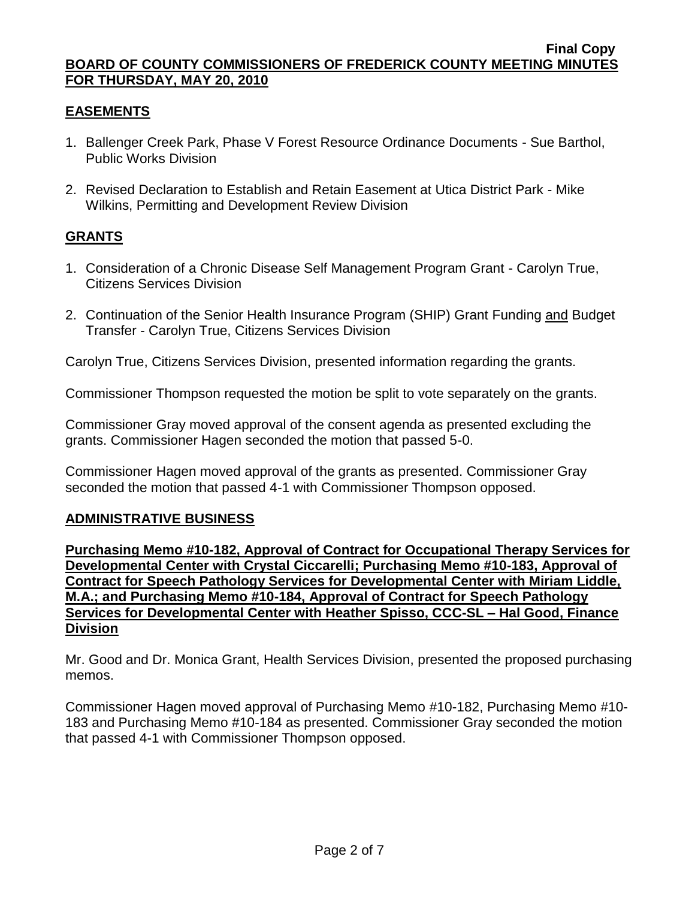# **EASEMENTS**

- 1. Ballenger Creek Park, Phase V Forest Resource Ordinance Documents Sue Barthol, Public Works Division
- 2. Revised Declaration to Establish and Retain Easement at Utica District Park Mike Wilkins, Permitting and Development Review Division

# **GRANTS**

- 1. Consideration of a Chronic Disease Self Management Program Grant Carolyn True, Citizens Services Division
- 2. Continuation of the Senior Health Insurance Program (SHIP) Grant Funding and Budget Transfer - Carolyn True, Citizens Services Division

Carolyn True, Citizens Services Division, presented information regarding the grants.

Commissioner Thompson requested the motion be split to vote separately on the grants.

Commissioner Gray moved approval of the consent agenda as presented excluding the grants. Commissioner Hagen seconded the motion that passed 5-0.

Commissioner Hagen moved approval of the grants as presented. Commissioner Gray seconded the motion that passed 4-1 with Commissioner Thompson opposed.

### **ADMINISTRATIVE BUSINESS**

**Purchasing Memo #10-182, Approval of Contract for Occupational Therapy Services for Developmental Center with Crystal Ciccarelli; Purchasing Memo #10-183, Approval of Contract for Speech Pathology Services for Developmental Center with Miriam Liddle, M.A.; and Purchasing Memo #10-184, Approval of Contract for Speech Pathology Services for Developmental Center with Heather Spisso, CCC-SL – Hal Good, Finance Division** 

Mr. Good and Dr. Monica Grant, Health Services Division, presented the proposed purchasing memos.

Commissioner Hagen moved approval of Purchasing Memo #10-182, Purchasing Memo #10- 183 and Purchasing Memo #10-184 as presented. Commissioner Gray seconded the motion that passed 4-1 with Commissioner Thompson opposed.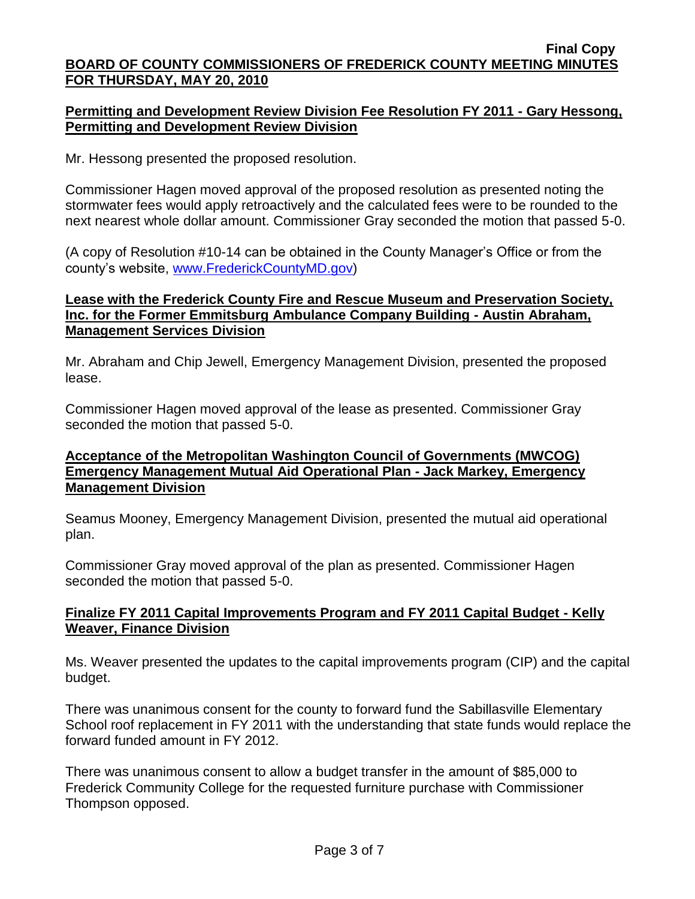# **Permitting and Development Review Division Fee Resolution FY 2011 - Gary Hessong, Permitting and Development Review Division**

Mr. Hessong presented the proposed resolution.

Commissioner Hagen moved approval of the proposed resolution as presented noting the stormwater fees would apply retroactively and the calculated fees were to be rounded to the next nearest whole dollar amount. Commissioner Gray seconded the motion that passed 5-0.

(A copy of Resolution #10-14 can be obtained in the County Manager's Office or from the county's website, [www.FrederickCountyMD.gov\)](http://www.frederickcountymd.gov/)

# **Lease with the Frederick County Fire and Rescue Museum and Preservation Society, Inc. for the Former Emmitsburg Ambulance Company Building - Austin Abraham, Management Services Division**

Mr. Abraham and Chip Jewell, Emergency Management Division, presented the proposed lease.

Commissioner Hagen moved approval of the lease as presented. Commissioner Gray seconded the motion that passed 5-0.

### **Acceptance of the Metropolitan Washington Council of Governments (MWCOG) Emergency Management Mutual Aid Operational Plan - Jack Markey, Emergency Management Division**

Seamus Mooney, Emergency Management Division, presented the mutual aid operational plan.

Commissioner Gray moved approval of the plan as presented. Commissioner Hagen seconded the motion that passed 5-0.

# **Finalize FY 2011 Capital Improvements Program and FY 2011 Capital Budget - Kelly Weaver, Finance Division**

Ms. Weaver presented the updates to the capital improvements program (CIP) and the capital budget.

There was unanimous consent for the county to forward fund the Sabillasville Elementary School roof replacement in FY 2011 with the understanding that state funds would replace the forward funded amount in FY 2012.

There was unanimous consent to allow a budget transfer in the amount of \$85,000 to Frederick Community College for the requested furniture purchase with Commissioner Thompson opposed.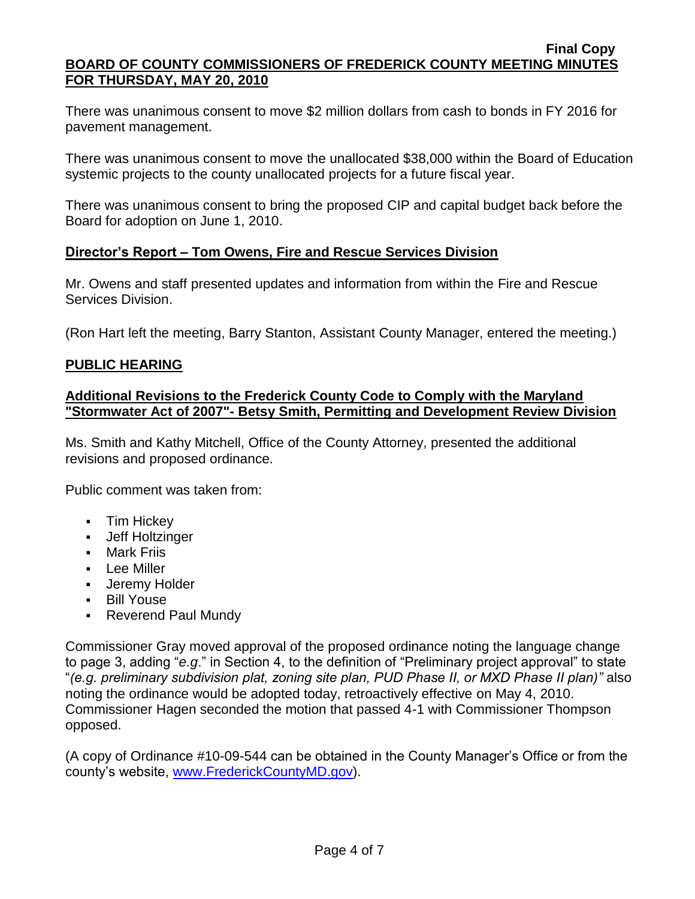There was unanimous consent to move \$2 million dollars from cash to bonds in FY 2016 for pavement management.

There was unanimous consent to move the unallocated \$38,000 within the Board of Education systemic projects to the county unallocated projects for a future fiscal year.

There was unanimous consent to bring the proposed CIP and capital budget back before the Board for adoption on June 1, 2010.

# **Director's Report – Tom Owens, Fire and Rescue Services Division**

Mr. Owens and staff presented updates and information from within the Fire and Rescue Services Division.

(Ron Hart left the meeting, Barry Stanton, Assistant County Manager, entered the meeting.)

### **PUBLIC HEARING**

### **Additional Revisions to the Frederick County Code to Comply with the Maryland "Stormwater Act of 2007"- Betsy Smith, Permitting and Development Review Division**

Ms. Smith and Kathy Mitchell, Office of the County Attorney, presented the additional revisions and proposed ordinance.

Public comment was taken from:

- Tim Hickey
- Jeff Holtzinger
- **Mark Friis**
- Lee Miller
- **Jeremy Holder**
- Bill Youse
- **Reverend Paul Mundy**

Commissioner Gray moved approval of the proposed ordinance noting the language change to page 3, adding "*e.g*." in Section 4, to the definition of "Preliminary project approval" to state "*(e.g. preliminary subdivision plat, zoning site plan, PUD Phase II, or MXD Phase II plan)"* also noting the ordinance would be adopted today, retroactively effective on May 4, 2010. Commissioner Hagen seconded the motion that passed 4-1 with Commissioner Thompson opposed.

(A copy of Ordinance #10-09-544 can be obtained in the County Manager's Office or from the county's website, [www.FrederickCountyMD.gov\)](http://www.frederickcountymd.gov/).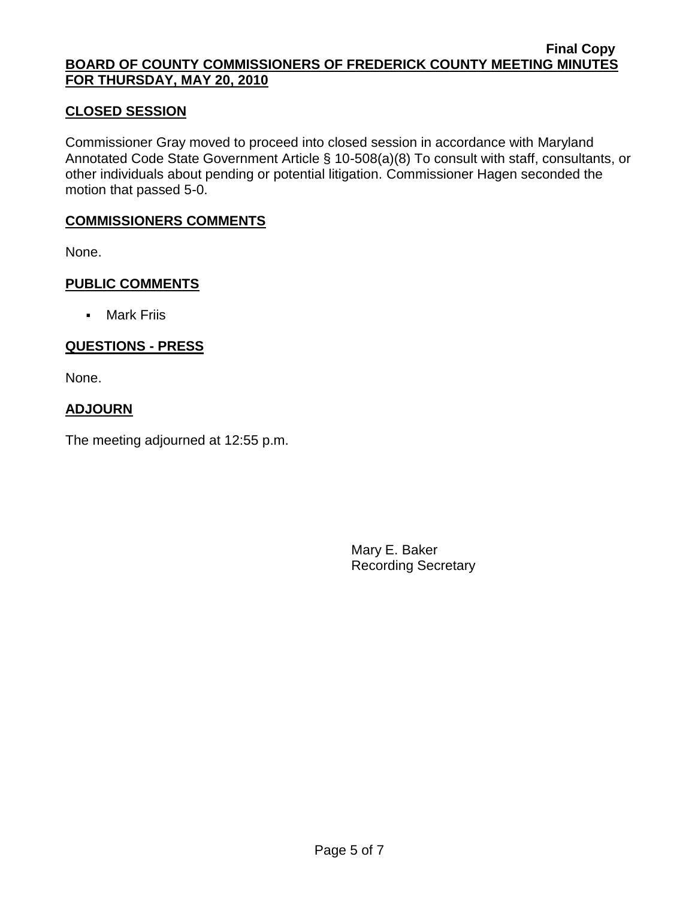### **CLOSED SESSION**

Commissioner Gray moved to proceed into closed session in accordance with Maryland Annotated Code State Government Article § 10-508(a)(8) To consult with staff, consultants, or other individuals about pending or potential litigation. Commissioner Hagen seconded the motion that passed 5-0.

### **COMMISSIONERS COMMENTS**

None.

### **PUBLIC COMMENTS**

Mark Friis

# **QUESTIONS - PRESS**

None.

# **ADJOURN**

The meeting adjourned at 12:55 p.m.

Mary E. Baker Recording Secretary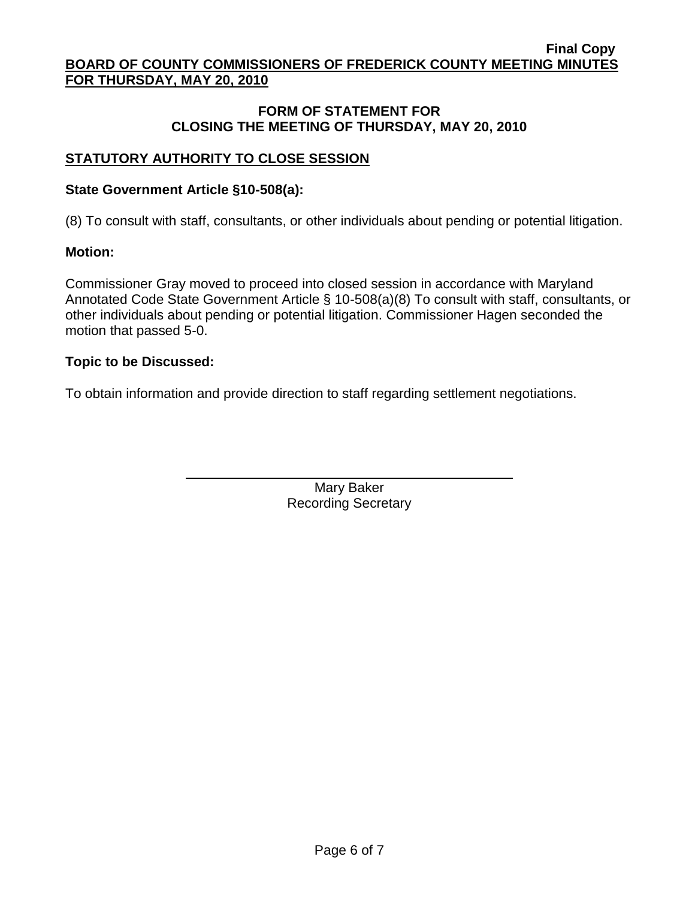### **FORM OF STATEMENT FOR CLOSING THE MEETING OF THURSDAY, MAY 20, 2010**

# **STATUTORY AUTHORITY TO CLOSE SESSION**

### **State Government Article §10-508(a):**

(8) To consult with staff, consultants, or other individuals about pending or potential litigation.

# **Motion:**

Commissioner Gray moved to proceed into closed session in accordance with Maryland Annotated Code State Government Article § 10-508(a)(8) To consult with staff, consultants, or other individuals about pending or potential litigation. Commissioner Hagen seconded the motion that passed 5-0.

# **Topic to be Discussed:**

To obtain information and provide direction to staff regarding settlement negotiations.

Mary Baker Recording Secretary